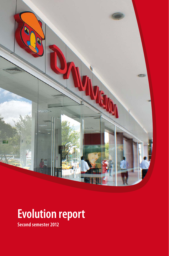

# **Evolution report**

**Second semester 2012**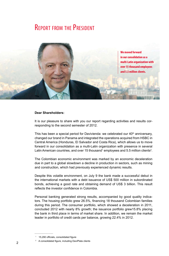## **REPORT FROM THE PRESIDENT**



#### **Dear Shareholders:**

It is our pleasure to share with you our report regarding activities and results corresponding to the second semester of 2012.

This has been a special period for Davivienda: we celebrated our  $40<sup>th</sup>$  anniversary, changed our brand in Panama and integrated the operations acquired from HSBC in Central America (Honduras, El Salvador and Costa Rica), which allows us to move forward in our consolidation as a multi-Latin organization with presence in several Latin American countries, and over 15 thousand<sup>1</sup> employees and 5.5 million clients<sup>2</sup>.

The Colombian economic environment was marked by an economic deceleration due in part to a global slowdown a decline in production in sectors, such as mining and construction, which had previously experienced dynamic results.

Despite this volatile environment, on July 9 the bank made a successful debut in the international markets with a debt issuance of US\$ 500 million in subordinated bonds, achieving a good rate and obtaining demand of US\$ 3 billion. This result reflects the investor confidence in Colombia.

Personal banking generated strong results, accompanied by good quality indicators. The housing portfolio grew 26.5%, financing 18 thousand Colombian families during this period. The consumer portfolio, which showed a deceleration in 2011, concluded 2012 with nearly 8% growth; the issuance portfolio grew15.8% placing the bank in third place in terms of market share. In addition, we remain the market leader in portfolio of credit cards per balance, growing 22.4% in 2012.

<sup>1</sup> 15,290 officials, consolidated figure

<sup>2</sup> A consolidated figure, including DaviPlata clients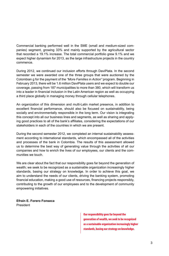Commercial banking performed well in the SME (small and medium-sized companies) segment, growing 33% and mainly supported by the agricultural sector that recorded a 19.1% increase. The total commercial portfolio grew 9.1% and we expect higher dynamism for 2013, as the large infrastructure projects in the country commence.

During 2012, we continued our inclusion efforts through DaviPlata. In the second semester we were awarded one of the three groups that were auctioned by the Colombian g for the payment of the *"More Families in Action"* program. Beginning in February 2013, there will be 1.6 million DaviPlata users and we expect to double our coverage, passing from 187 municipalities to more than 380, which will transform us into a leader in financial inclusion in the Latin American region as well as occupying a third place globally in managing money through cellular telephones.

An organization of this dimension and multi-Latin market presence, in addition to excellent financial performance, should also be focused on sustainability, being socially and environmentally responsible in the long term. Our vision is integrating this concept into all our business lines and segments, as well as sharing and applying good practices to all of the bank's affiliates, considering the expectations of our stakeholders in each of the countries in which we are present.

During the second semester 2012, we completed an internal sustainability assessment according to international standards, which encompassed all of the activities and processes of the bank in Colombia. The results of this assessment allowed us to determine the best way of generating value through the activities of all our companies and how to enrich the lives of our employees, our clients and the communities we touch.

We are clear about the fact that our responsibility goes far beyond the generation of wealth; we seek to be recognized as a sustainable organization increasingly higher standards, basing our strategy on knowledge. In order to achieve this goal, we aim to understand the needs of our clients, driving the banking system, promoting financial education, making a good use of resources, financing projects responsibly, contributing to the growth of our employees and to the development of community empowering initiatives.

**Efraín E. Forero Fonseca** President

> **Our responsibility goes far beyond the generation of wealth, we seek to be recognized as a sustainable organization increasingly higher standards, basing our strategy on knowledge.**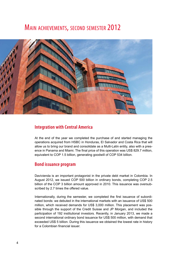# Main achievements, second semester 2012



#### **Integration with Central America**

At the end of the year we completed the purchase of and started managing the operations acquired from HSBC in Honduras, El Salvador and Costa Rica that will allow us to bring our brand and consolidate as a Multi-Latin entity, also with a presence in Panama and Miami. The final price of this operation was US\$ 829.7 million, equivalent to COP 1.5 billion, generating goodwill of COP 534 billion.

#### **Bond issuance program**

Davivienda is an important protagonist in the private debt market in Colombia. In August 2012, we issued COP 500 billion in ordinary bonds, completing COP 2.5 billion of the COP 3 billion amount approved in 2010. This issuance was oversubscribed by 2.7 times the offered value.

Internationally, during the semester, we completed the first issuance of subordinated bonds: we debuted in the international markets with an issuance of US\$ 500 million, which received demands for US\$ 3,000 million. This placement was possible through the support of the Credit Suisse and JP Morgan, and included the participation of 192 institutional investors. Recently, in January 2013, we made a second international ordinary bond issuance for US\$ 500 million, with demand that exceeded US\$ 5 billion. During this issuance we obtained the lowest rate in history for a Colombian financial issuer.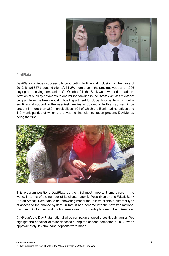

#### **DaviPlata**

DaviPlata continues successfully contributing to financial inclusion: at the close of 2012, it had 857 thousand clients<sup>3</sup>, 71.2% more than in the previous year, and 1,006 paying or receiving companies. On October 24, the Bank was awarded the administration of subsidy payments to one million families in the *"More Families in Action"* program from the Presidential Office Department for Social Prosperity, which delivers financial support to the neediest families in Colombia. In this way we will be present in more than 380 municipalities, 191 of which the Bank had no offices and 119 municipalities of which there was no financial institution present; Davivienda being the first.



This program positions DaviPlata as the third most important smart card in the world, in terms of the number of its clients, after M-Pesa (Kenia) and Wizzit Bank (South Africa). DaviPlata is an innovating model that allows clients a different type of access to the finance system. In fact, it had become into the new transactional medium in Colombia, and the first mass electronic funds platform in Latin America.

*"Al Gratin"*, the DaviPlata national wires campaign showed a positive dynamics. We highlight the behavior of teller deposits during the second semester in 2012, when approximately 112 thousand deposits were made.

<sup>3</sup> Not including the new clients in the *"More Families in Action"* Program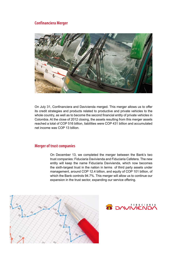#### **Confinanciera Merger**



On July 31, Confinanciera and Davivienda merged. This merger allows us to offer its credit strategies and products related to productive and private vehicles to the whole country, as well as to become the second financial entity of private vehicles in Colombia. At the close of 2012 closing, the assets resulting from this merger assets reached a total of COP 516 billion, liabilities were COP 431 billion and accumulated net income was COP 13 billion.

#### **Merger of trust companies**

On December 13, we completed the merger between the Bank's two trust companies: Fiduciaria Davivienda and Fiduciaria Cafetera. The new entity will keep the name Fiduciaria Davivienda, which now becomes the sixth-largest trust in the nation in terms of third party assets under management, around COP 12.4 billion, and equity of COP 101 billion, of which the Bank controls 94.7%. This merger will allow us to continue our expansion in the trust sector, expanding our service offering.



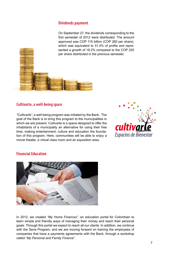#### **Dividends payment**

On September 27, the dividends corresponding to the first semester of 2012 were distributed. The amount approved was COP 115 billion (COP 260 per share), which was equivalent to 31.4% of profits and represented a growth of 18.2% compared to the COP 220 per share distributed in the previous semester.

#### **Cultivarte, a well-being space**

*"Cultivarte"*, a well-being program was initiated by the Bank. The goal of the Bank is to bring this program to the municipalities in which we are present. Cultivarte is a space designed to offer the inhabitants of a municipality an alternative for using their free time, making entertainment, culture and education the foundation of this program. Here, communities will be able to enjoy a movie theater, a virtual class room and an exposition area.



#### **Financial Education**



In 2012, we created *"My Home Finances"*, an education portal for Colombian to learn simple and friendly ways of managing their money and reach their personal goals. Through this portal we expect to reach all our clients. In addition, we continue with the Sena Program, and we are moving forward on training the employees of companies that have a payments agreements with the Bank, through a workshop called "*My Personal and Family Finance*".